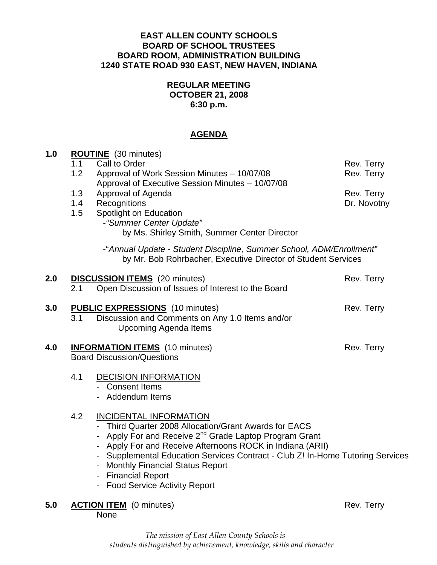#### **EAST ALLEN COUNTY SCHOOLS BOARD OF SCHOOL TRUSTEES BOARD ROOM, ADMINISTRATION BUILDING 1240 STATE ROAD 930 EAST, NEW HAVEN, INDIANA**

### **REGULAR MEETING OCTOBER 21, 2008 6:30 p.m.**

### **AGENDA**

| 1.0 | <b>ROUTINE</b> (30 minutes)       |                                                                                                                                       |             |
|-----|-----------------------------------|---------------------------------------------------------------------------------------------------------------------------------------|-------------|
|     | 1.1                               | Call to Order                                                                                                                         | Rev. Terry  |
|     | 1.2                               | Approval of Work Session Minutes - 10/07/08<br>Approval of Executive Session Minutes - 10/07/08                                       | Rev. Terry  |
|     | 1.3                               | Approval of Agenda                                                                                                                    | Rev. Terry  |
|     | 1.4                               | Recognitions                                                                                                                          | Dr. Novotny |
|     | 1.5                               | Spotlight on Education<br>- "Summer Center Update"                                                                                    |             |
|     |                                   | by Ms. Shirley Smith, Summer Center Director                                                                                          |             |
|     |                                   | -"Annual Update - Student Discipline, Summer School, ADM/Enrollment"<br>by Mr. Bob Rohrbacher, Executive Director of Student Services |             |
| 2.0 | 2.1                               | <b>DISCUSSION ITEMS</b> (20 minutes)<br>Open Discussion of Issues of Interest to the Board                                            | Rev. Terry  |
| 3.0 |                                   | <b>PUBLIC EXPRESSIONS</b> (10 minutes)                                                                                                | Rev. Terry  |
|     | 3.1                               | Discussion and Comments on Any 1.0 Items and/or                                                                                       |             |
|     |                                   | <b>Upcoming Agenda Items</b>                                                                                                          |             |
| 4.0 |                                   | <b>INFORMATION ITEMS</b> (10 minutes)                                                                                                 | Rev. Terry  |
|     | <b>Board Discussion/Questions</b> |                                                                                                                                       |             |
|     | 4.1                               | <b>DECISION INFORMATION</b>                                                                                                           |             |
|     |                                   | - Consent Items                                                                                                                       |             |
|     |                                   | Addendum Items                                                                                                                        |             |
|     | 4.2                               | <b>INCIDENTAL INFORMATION</b>                                                                                                         |             |
|     |                                   | - Third Quarter 2008 Allocation/Grant Awards for EACS                                                                                 |             |
|     |                                   | Apply For and Receive 2 <sup>nd</sup> Grade Laptop Program Grant<br>- Apply For and Receive Afternoons ROCK in Indiana (ARII)         |             |
|     |                                   | - Supplemental Education Services Contract - Club Z! In-Home Tutoring Services                                                        |             |
|     |                                   | - Monthly Financial Status Report                                                                                                     |             |
|     |                                   | - Financial Report<br>- Food Service Activity Report                                                                                  |             |
|     |                                   |                                                                                                                                       |             |
| 5.0 |                                   | <b>ACTION ITEM</b> (0 minutes)                                                                                                        | Rev. Terry  |

*The mission of East Allen County Schools is students distinguished by achievement, knowledge, skills and character* 

None